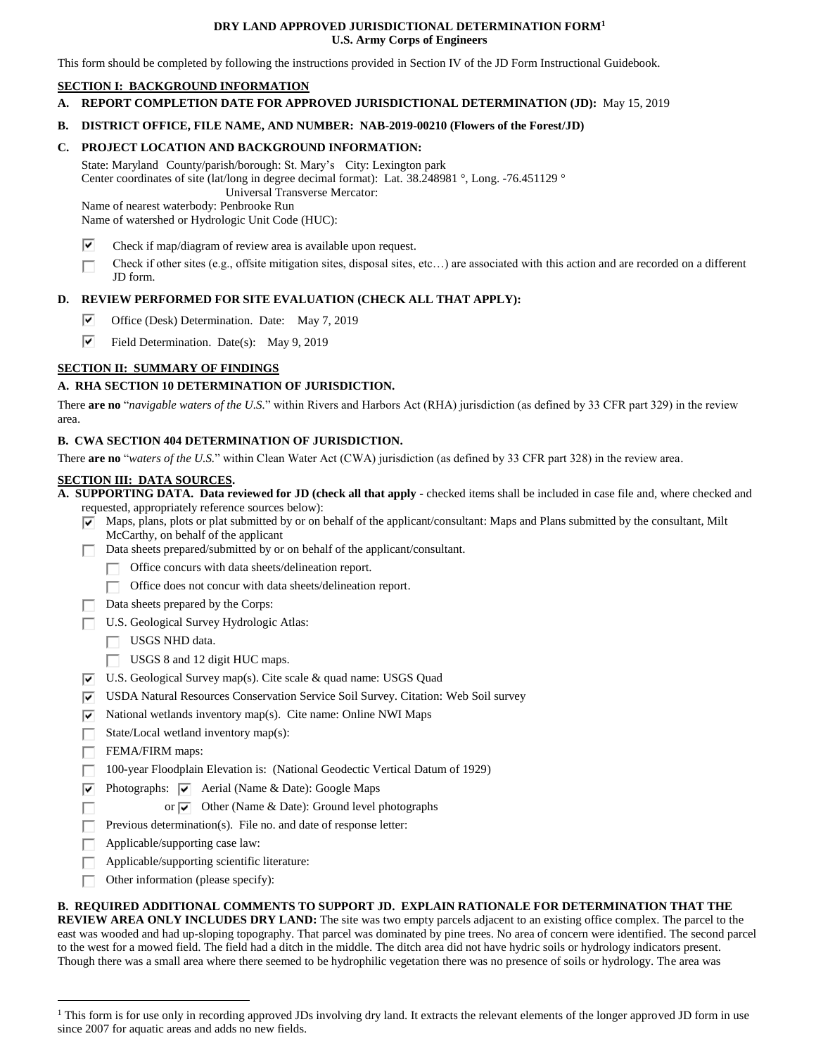#### **DRY LAND APPROVED JURISDICTIONAL DETERMINATION FORM<sup>1</sup> U.S. Army Corps of Engineers**

This form should be completed by following the instructions provided in Section IV of the JD Form Instructional Guidebook.

# **SECTION I: BACKGROUND INFORMATION**

**A. REPORT COMPLETION DATE FOR APPROVED JURISDICTIONAL DETERMINATION (JD):** May 15, 2019

#### **B. DISTRICT OFFICE, FILE NAME, AND NUMBER: NAB-2019-00210 (Flowers of the Forest/JD)**

#### **C. PROJECT LOCATION AND BACKGROUND INFORMATION:**

State: Maryland County/parish/borough: St. Mary's City: Lexington park Center coordinates of site (lat/long in degree decimal format): Lat. 38.248981 °, Long. -76.451129 °

 Universal Transverse Mercator: Name of nearest waterbody: Penbrooke Run

Name of watershed or Hydrologic Unit Code (HUC):

- ⊽ Check if map/diagram of review area is available upon request.
- Check if other sites (e.g., offsite mitigation sites, disposal sites, etc…) are associated with this action and are recorded on a different П JD form.

# **D. REVIEW PERFORMED FOR SITE EVALUATION (CHECK ALL THAT APPLY):**

- ☞ Office (Desk) Determination. Date: May 7, 2019
- ☑ Field Determination. Date(s): May 9, 2019

# **SECTION II: SUMMARY OF FINDINGS**

# **A. RHA SECTION 10 DETERMINATION OF JURISDICTION.**

There **are no** "*navigable waters of the U.S.*" within Rivers and Harbors Act (RHA) jurisdiction (as defined by 33 CFR part 329) in the review area.

# **B. CWA SECTION 404 DETERMINATION OF JURISDICTION.**

There **are no** "*waters of the U.S.*" within Clean Water Act (CWA) jurisdiction (as defined by 33 CFR part 328) in the review area.

#### **SECTION III: DATA SOURCES.**

**A. SUPPORTING DATA. Data reviewed for JD (check all that apply -** checked items shall be included in case file and, where checked and requested, appropriately reference sources below):

- $\overline{\triangledown}$  Maps, plans, plots or plat submitted by or on behalf of the applicant/consultant: Maps and Plans submitted by the consultant, Milt McCarthy, on behalf of the applicant
- Data sheets prepared/submitted by or on behalf of the applicant/consultant.
	- Office concurs with data sheets/delineation report.
		- $\Box$  Office does not concur with data sheets/delineation report.
- $\Box$  Data sheets prepared by the Corps:
- U.S. Geological Survey Hydrologic Atlas:
	- $\Box$  USGS NHD data.
	- USGS 8 and 12 digit HUC maps.
- $\overline{v}$  U.S. Geological Survey map(s). Cite scale & quad name: USGS Quad
- USDA Natural Resources Conservation Service Soil Survey. Citation: Web Soil survey
- $\triangledown$  National wetlands inventory map(s). Cite name: Online NWI Maps
- State/Local wetland inventory map(s): П.
- FEMA/FIRM maps:

Г

 $\overline{a}$ 

- 100-year Floodplain Elevation is: (National Geodectic Vertical Datum of 1929) П.
- $\triangledown$  Photographs:  $\triangledown$  Aerial (Name & Date): Google Maps
	- or  $\overline{\blacktriangledown}$  Other (Name & Date): Ground level photographs
- Previous determination(s). File no. and date of response letter: П.
- Г Applicable/supporting case law:
- П. Applicable/supporting scientific literature:
- Other information (please specify): п

#### **B. REQUIRED ADDITIONAL COMMENTS TO SUPPORT JD. EXPLAIN RATIONALE FOR DETERMINATION THAT THE**

**REVIEW AREA ONLY INCLUDES DRY LAND:** The site was two empty parcels adjacent to an existing office complex. The parcel to the east was wooded and had up-sloping topography. That parcel was dominated by pine trees. No area of concern were identified. The second parcel to the west for a mowed field. The field had a ditch in the middle. The ditch area did not have hydric soils or hydrology indicators present. Though there was a small area where there seemed to be hydrophilic vegetation there was no presence of soils or hydrology. The area was

<sup>&</sup>lt;sup>1</sup> This form is for use only in recording approved JDs involving dry land. It extracts the relevant elements of the longer approved JD form in use since 2007 for aquatic areas and adds no new fields.